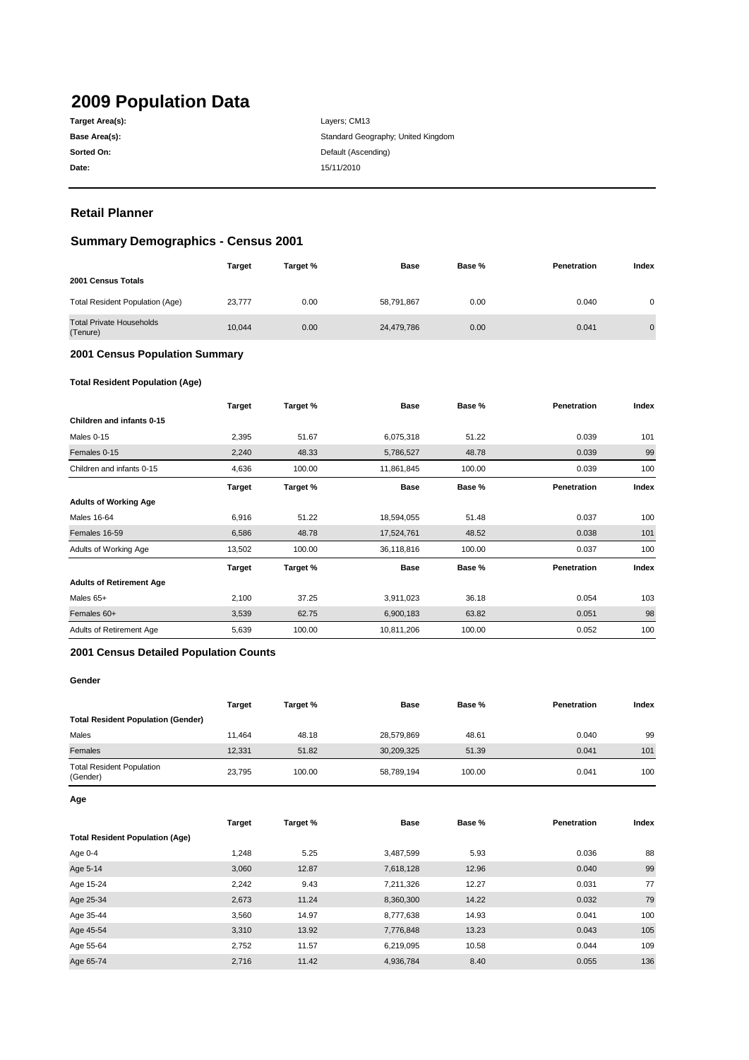# **2009 Population Data**

| Target Area(s): |
|-----------------|
| Base Area(s):   |
| Sorted On:      |
| Date:           |

Layers; CM13 Standard Geography; United Kingdom **Default (Ascending) Date:** 15/11/2010

# **Retail Planner**

# **Summary Demographics - Census 2001**

|                                             | Target | Target % | <b>Base</b> | Base % | Penetration | Index          |
|---------------------------------------------|--------|----------|-------------|--------|-------------|----------------|
| 2001 Census Totals                          |        |          |             |        |             |                |
| Total Resident Population (Age)             | 23,777 | 0.00     | 58,791,867  | 0.00   | 0.040       | 0              |
| <b>Total Private Households</b><br>(Tenure) | 10.044 | 0.00     | 24,479,786  | 0.00   | 0.041       | $\overline{0}$ |

#### **2001 Census Population Summary**

#### **Total Resident Population (Age)**

|                                 | <b>Target</b> | Target % | <b>Base</b> | Base % | <b>Penetration</b> | Index |
|---------------------------------|---------------|----------|-------------|--------|--------------------|-------|
| Children and infants 0-15       |               |          |             |        |                    |       |
| Males 0-15                      | 2,395         | 51.67    | 6,075,318   | 51.22  | 0.039              | 101   |
| Females 0-15                    | 2,240         | 48.33    | 5,786,527   | 48.78  | 0.039              | 99    |
| Children and infants 0-15       | 4,636         | 100.00   | 11,861,845  | 100.00 | 0.039              | 100   |
|                                 | <b>Target</b> | Target % | <b>Base</b> | Base % | <b>Penetration</b> | Index |
| <b>Adults of Working Age</b>    |               |          |             |        |                    |       |
| <b>Males 16-64</b>              | 6,916         | 51.22    | 18,594,055  | 51.48  | 0.037              | 100   |
| Females 16-59                   | 6,586         | 48.78    | 17,524,761  | 48.52  | 0.038              | 101   |
| Adults of Working Age           | 13,502        | 100.00   | 36,118,816  | 100.00 | 0.037              | 100   |
|                                 | <b>Target</b> | Target % | <b>Base</b> | Base % | Penetration        | Index |
| <b>Adults of Retirement Age</b> |               |          |             |        |                    |       |
| Males 65+                       | 2,100         | 37.25    | 3,911,023   | 36.18  | 0.054              | 103   |
| Females 60+                     | 3,539         | 62.75    | 6,900,183   | 63.82  | 0.051              | 98    |
| Adults of Retirement Age        | 5,639         | 100.00   | 10,811,206  | 100.00 | 0.052              | 100   |

#### **2001 Census Detailed Population Counts**

#### **Gender**

|                                              | <b>Target</b> | Target % | Base       | Base % | <b>Penetration</b> | Index |
|----------------------------------------------|---------------|----------|------------|--------|--------------------|-------|
| <b>Total Resident Population (Gender)</b>    |               |          |            |        |                    |       |
| Males                                        | 11.464        | 48.18    | 28,579,869 | 48.61  | 0.040              | 99    |
| Females                                      | 12.331        | 51.82    | 30,209,325 | 51.39  | 0.041              | 101   |
| <b>Total Resident Population</b><br>(Gender) | 23.795        | 100.00   | 58,789,194 | 100.00 | 0.041              | 100   |

**Age**

|                                        | Target | Target % | <b>Base</b> | Base % | Penetration | Index |
|----------------------------------------|--------|----------|-------------|--------|-------------|-------|
| <b>Total Resident Population (Age)</b> |        |          |             |        |             |       |
| Age 0-4                                | 1,248  | 5.25     | 3,487,599   | 5.93   | 0.036       | 88    |
| Age 5-14                               | 3,060  | 12.87    | 7,618,128   | 12.96  | 0.040       | 99    |
| Age 15-24                              | 2,242  | 9.43     | 7,211,326   | 12.27  | 0.031       | 77    |
| Age 25-34                              | 2,673  | 11.24    | 8,360,300   | 14.22  | 0.032       | 79    |
| Age 35-44                              | 3.560  | 14.97    | 8,777,638   | 14.93  | 0.041       | 100   |
| Age 45-54                              | 3,310  | 13.92    | 7,776,848   | 13.23  | 0.043       | 105   |
| Age 55-64                              | 2,752  | 11.57    | 6,219,095   | 10.58  | 0.044       | 109   |
| Age 65-74                              | 2,716  | 11.42    | 4,936,784   | 8.40   | 0.055       | 136   |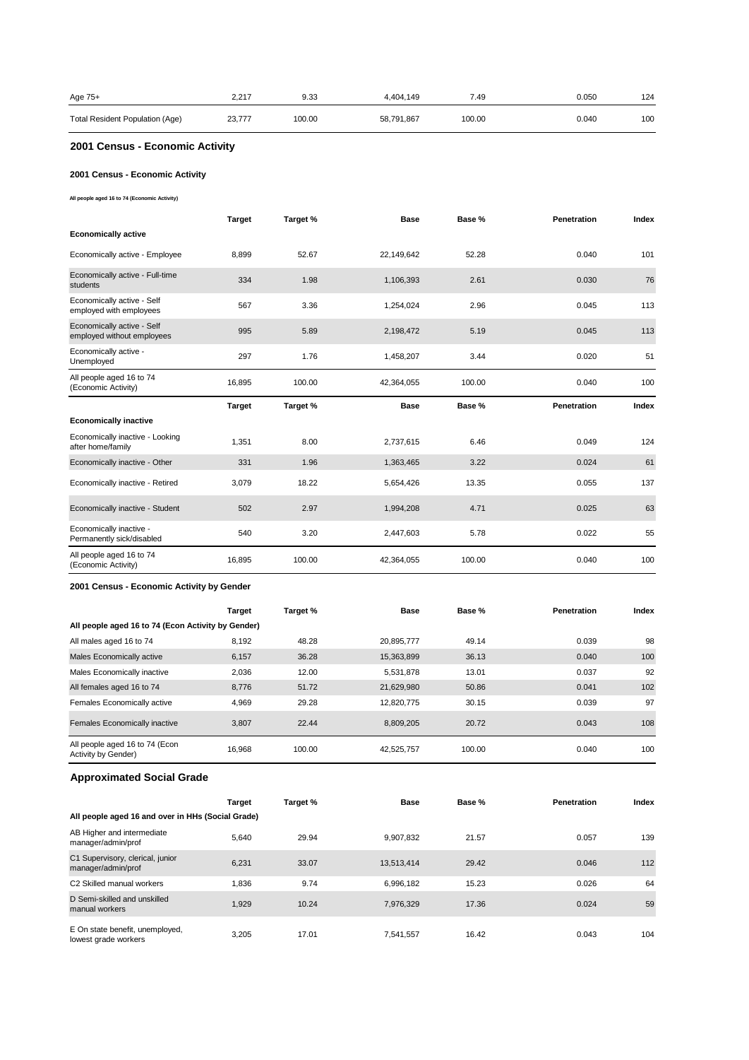| Age 75+                         | 2.217  | 9.33   | 4.404.149  | 7.49   | 0.050 | 124 |
|---------------------------------|--------|--------|------------|--------|-------|-----|
| Total Resident Population (Age) | 23.777 | 100.00 | 58,791,867 | 100.00 | 0.040 | 100 |

# **2001 Census - Economic Activity**

### **2001 Census - Economic Activity**

**All people aged 16 to 74 (Economic Activity)**

|                                                          | <b>Target</b> | Target % | <b>Base</b> | Base % | <b>Penetration</b> | Index |
|----------------------------------------------------------|---------------|----------|-------------|--------|--------------------|-------|
| <b>Economically active</b>                               |               |          |             |        |                    |       |
| Economically active - Employee                           | 8.899         | 52.67    | 22,149,642  | 52.28  | 0.040              | 101   |
| Economically active - Full-time<br>students              | 334           | 1.98     | 1,106,393   | 2.61   | 0.030              | 76    |
| Economically active - Self<br>employed with employees    | 567           | 3.36     | 1,254,024   | 2.96   | 0.045              | 113   |
| Economically active - Self<br>employed without employees | 995           | 5.89     | 2,198,472   | 5.19   | 0.045              | 113   |
| Economically active -<br>Unemployed                      | 297           | 1.76     | 1,458,207   | 3.44   | 0.020              | 51    |
| All people aged 16 to 74<br>(Economic Activity)          | 16,895        | 100.00   | 42,364,055  | 100.00 | 0.040              | 100   |
|                                                          |               |          |             |        |                    |       |
|                                                          | <b>Target</b> | Target % | <b>Base</b> | Base % | <b>Penetration</b> | Index |
| <b>Economically inactive</b>                             |               |          |             |        |                    |       |
| Economically inactive - Looking<br>after home/family     | 1,351         | 8.00     | 2,737,615   | 6.46   | 0.049              | 124   |
| Economically inactive - Other                            | 331           | 1.96     | 1,363,465   | 3.22   | 0.024              | 61    |
| Economically inactive - Retired                          | 3,079         | 18.22    | 5,654,426   | 13.35  | 0.055              | 137   |
| Economically inactive - Student                          | 502           | 2.97     | 1,994,208   | 4.71   | 0.025              | 63    |
| Economically inactive -<br>Permanently sick/disabled     | 540           | 3.20     | 2,447,603   | 5.78   | 0.022              | 55    |

#### **2001 Census - Economic Activity by Gender**

|                                                       | <b>Target</b> | Target % | <b>Base</b> | Base % | Penetration | Index |
|-------------------------------------------------------|---------------|----------|-------------|--------|-------------|-------|
| All people aged 16 to 74 (Econ Activity by Gender)    |               |          |             |        |             |       |
| All males aged 16 to 74                               | 8,192         | 48.28    | 20.895.777  | 49.14  | 0.039       | 98    |
| Males Economically active                             | 6.157         | 36.28    | 15,363,899  | 36.13  | 0.040       | 100   |
| Males Economically inactive                           | 2,036         | 12.00    | 5,531,878   | 13.01  | 0.037       | 92    |
| All females aged 16 to 74                             | 8,776         | 51.72    | 21,629,980  | 50.86  | 0.041       | 102   |
| Females Economically active                           | 4.969         | 29.28    | 12.820.775  | 30.15  | 0.039       | 97    |
| Females Economically inactive                         | 3.807         | 22.44    | 8.809.205   | 20.72  | 0.043       | 108   |
| All people aged 16 to 74 (Econ<br>Activity by Gender) | 16.968        | 100.00   | 42,525,757  | 100.00 | 0.040       | 100   |

# **Approximated Social Grade**

|                                                         | <b>Target</b> | Target % | <b>Base</b> | Base % | <b>Penetration</b> | Index |
|---------------------------------------------------------|---------------|----------|-------------|--------|--------------------|-------|
| All people aged 16 and over in HHs (Social Grade)       |               |          |             |        |                    |       |
| AB Higher and intermediate<br>manager/admin/prof        | 5.640         | 29.94    | 9.907.832   | 21.57  | 0.057              | 139   |
| C1 Supervisory, clerical, junior<br>manager/admin/prof  | 6.231         | 33.07    | 13,513,414  | 29.42  | 0.046              | 112   |
| C <sub>2</sub> Skilled manual workers                   | 1.836         | 9.74     | 6.996.182   | 15.23  | 0.026              | 64    |
| D Semi-skilled and unskilled<br>manual workers          | 1.929         | 10.24    | 7.976.329   | 17.36  | 0.024              | 59    |
| E On state benefit, unemployed,<br>lowest grade workers | 3.205         | 17.01    | 7,541,557   | 16.42  | 0.043              | 104   |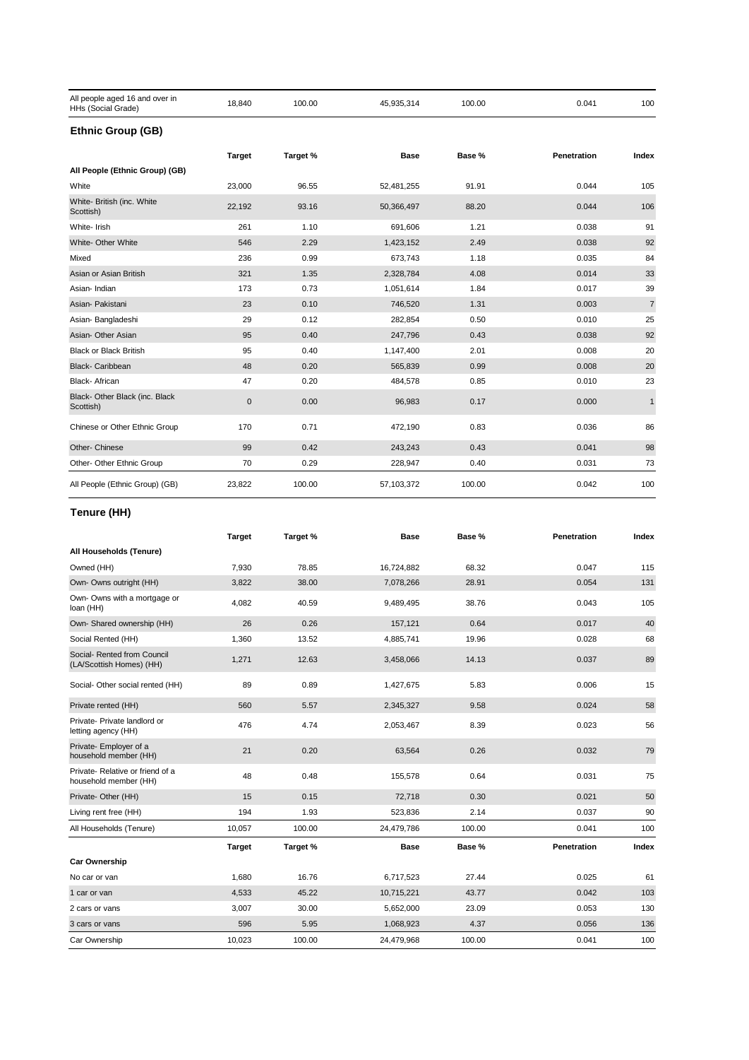| All people aged 16 and over in<br>HHs (Social Grade) | 18,840        | 100.00   | 45,935,314 | 100.00 | 0.041       | 100            |
|------------------------------------------------------|---------------|----------|------------|--------|-------------|----------------|
| <b>Ethnic Group (GB)</b>                             |               |          |            |        |             |                |
|                                                      | <b>Target</b> | Target % | Base       | Base % | Penetration | Index          |
| All People (Ethnic Group) (GB)                       |               |          |            |        |             |                |
| White                                                | 23,000        | 96.55    | 52,481,255 | 91.91  | 0.044       | 105            |
| White- British (inc. White<br>Scottish)              | 22,192        | 93.16    | 50,366,497 | 88.20  | 0.044       | 106            |
| White- Irish                                         | 261           | 1.10     | 691,606    | 1.21   | 0.038       | 91             |
| White- Other White                                   | 546           | 2.29     | 1,423,152  | 2.49   | 0.038       | 92             |
| Mixed                                                | 236           | 0.99     | 673,743    | 1.18   | 0.035       | 84             |
| Asian or Asian British                               | 321           | 1.35     | 2,328,784  | 4.08   | 0.014       | 33             |
| Asian-Indian                                         | 173           | 0.73     | 1,051,614  | 1.84   | 0.017       | 39             |
| Asian- Pakistani                                     | 23            | 0.10     | 746,520    | 1.31   | 0.003       | $\overline{7}$ |
| Asian- Bangladeshi                                   | 29            | 0.12     | 282,854    | 0.50   | 0.010       | 25             |
| Asian- Other Asian                                   | 95            | 0.40     | 247,796    | 0.43   | 0.038       | 92             |
| <b>Black or Black British</b>                        | 95            | 0.40     | 1,147,400  | 2.01   | 0.008       | 20             |
| <b>Black-Caribbean</b>                               | 48            | 0.20     | 565,839    | 0.99   | 0.008       | 20             |
| Black- African                                       | 47            | 0.20     | 484,578    | 0.85   | 0.010       | 23             |
| Black- Other Black (inc. Black<br>Scottish)          | $\mathbf 0$   | 0.00     | 96,983     | 0.17   | 0.000       | $\mathbf{1}$   |
| Chinese or Other Ethnic Group                        | 170           | 0.71     | 472,190    | 0.83   | 0.036       | 86             |
| Other- Chinese                                       | 99            | 0.42     | 243,243    | 0.43   | 0.041       | 98             |
| Other- Other Ethnic Group                            | 70            | 0.29     | 228,947    | 0.40   | 0.031       | 73             |
| All People (Ethnic Group) (GB)                       | 23,822        | 100.00   | 57,103,372 | 100.00 | 0.042       | 100            |

# **Tenure (HH)**

|                                                          | <b>Target</b> | Target % | <b>Base</b> | Base % | Penetration | Index |
|----------------------------------------------------------|---------------|----------|-------------|--------|-------------|-------|
| All Households (Tenure)                                  |               |          |             |        |             |       |
| Owned (HH)                                               | 7,930         | 78.85    | 16,724,882  | 68.32  | 0.047       | 115   |
| Own- Owns outright (HH)                                  | 3,822         | 38.00    | 7,078,266   | 28.91  | 0.054       | 131   |
| Own- Owns with a mortgage or<br>loan (HH)                | 4,082         | 40.59    | 9,489,495   | 38.76  | 0.043       | 105   |
| Own- Shared ownership (HH)                               | 26            | 0.26     | 157,121     | 0.64   | 0.017       | 40    |
| Social Rented (HH)                                       | 1,360         | 13.52    | 4,885,741   | 19.96  | 0.028       | 68    |
| Social- Rented from Council<br>(LA/Scottish Homes) (HH)  | 1,271         | 12.63    | 3,458,066   | 14.13  | 0.037       | 89    |
| Social- Other social rented (HH)                         | 89            | 0.89     | 1,427,675   | 5.83   | 0.006       | 15    |
| Private rented (HH)                                      | 560           | 5.57     | 2,345,327   | 9.58   | 0.024       | 58    |
| Private- Private landlord or<br>letting agency (HH)      | 476           | 4.74     | 2,053,467   | 8.39   | 0.023       | 56    |
| Private- Employer of a<br>household member (HH)          | 21            | 0.20     | 63,564      | 0.26   | 0.032       | 79    |
| Private-Relative or friend of a<br>household member (HH) | 48            | 0.48     | 155,578     | 0.64   | 0.031       | 75    |
| Private- Other (HH)                                      | 15            | 0.15     | 72,718      | 0.30   | 0.021       | 50    |
| Living rent free (HH)                                    | 194           | 1.93     | 523,836     | 2.14   | 0.037       | 90    |
| All Households (Tenure)                                  | 10,057        | 100.00   | 24,479,786  | 100.00 | 0.041       | 100   |
|                                                          | <b>Target</b> | Target % | <b>Base</b> | Base % | Penetration | Index |
| <b>Car Ownership</b>                                     |               |          |             |        |             |       |
| No car or van                                            | 1,680         | 16.76    | 6,717,523   | 27.44  | 0.025       | 61    |
| 1 car or van                                             | 4,533         | 45.22    | 10,715,221  | 43.77  | 0.042       | 103   |
| 2 cars or vans                                           | 3,007         | 30.00    | 5,652,000   | 23.09  | 0.053       | 130   |
| 3 cars or vans                                           | 596           | 5.95     | 1,068,923   | 4.37   | 0.056       | 136   |
| Car Ownership                                            | 10,023        | 100.00   | 24,479,968  | 100.00 | 0.041       | 100   |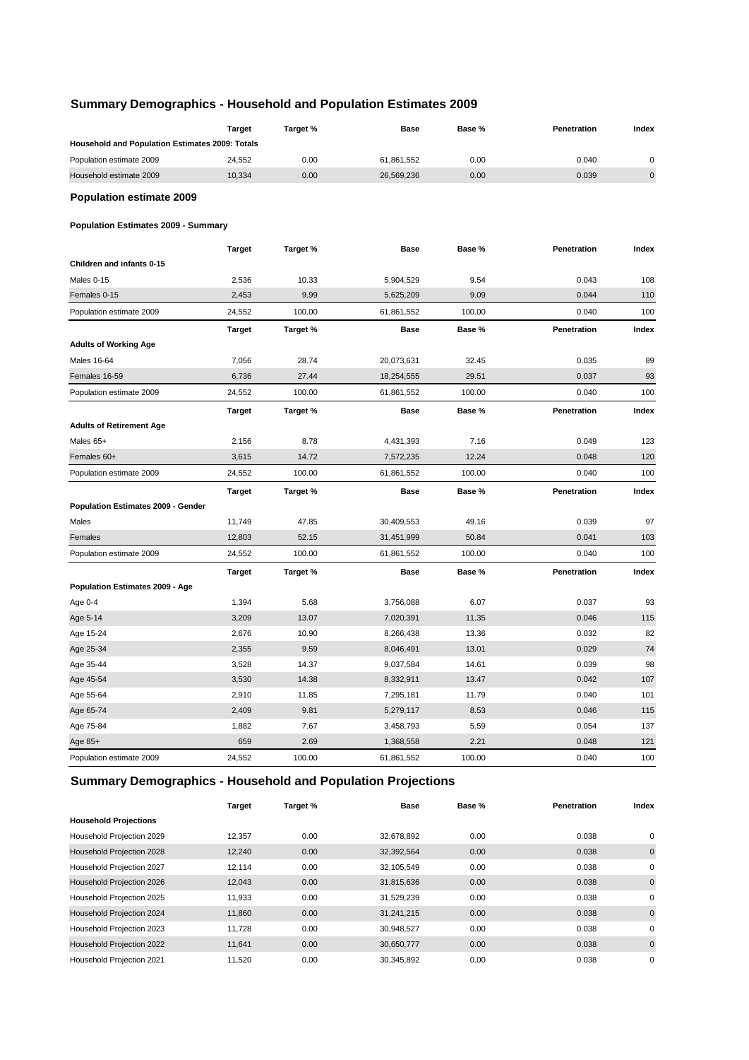# **Summary Demographics - Household and Population Estimates 2009**

| Household and Population Estimates 2009: Totals<br>0.00<br>0.00<br>0.040<br>Population estimate 2009<br>24,552<br>61,861,552<br>$\mathbf 0$<br>Household estimate 2009<br>10,334<br>0.00<br>26,569,236<br>0.00<br>0.039<br>$\pmb{0}$<br><b>Population estimate 2009</b><br><b>Population Estimates 2009 - Summary</b><br><b>Target</b><br>Target %<br><b>Base</b><br>Base %<br>Penetration<br>Index<br>Children and infants 0-15<br>0.043<br>Males 0-15<br>2,536<br>10.33<br>5,904,529<br>9.54<br>108<br>Females 0-15<br>2,453<br>9.99<br>5,625,209<br>9.09<br>0.044<br>110<br>24,552<br>100.00<br>61,861,552<br>100.00<br>0.040<br>100<br>Population estimate 2009<br><b>Target</b><br>Base %<br>Target %<br><b>Base</b><br>Penetration<br>Index<br><b>Adults of Working Age</b><br>7,056<br>28.74<br>20,073,631<br>32.45<br>0.035<br>89<br>Males 16-64<br>6,736<br>27.44<br>29.51<br>0.037<br>93<br>Females 16-59<br>18,254,555<br>24,552<br>61,861,552<br>100.00<br>0.040<br>100<br>Population estimate 2009<br>100.00<br><b>Target</b><br>Target %<br><b>Base</b><br>Base %<br>Penetration<br>Index<br><b>Adults of Retirement Age</b><br>Males 65+<br>2,156<br>8.78<br>4,431,393<br>7.16<br>0.049<br>123<br>Females 60+<br>3,615<br>14.72<br>7,572,235<br>12.24<br>0.048<br>120<br>100.00<br>100<br>Population estimate 2009<br>24,552<br>61,861,552<br>100.00<br>0.040<br><b>Target</b><br>Target %<br><b>Base</b><br>Base %<br>Penetration<br>Index<br>Population Estimates 2009 - Gender<br>97<br>Males<br>11,749<br>47.85<br>30,409,553<br>49.16<br>0.039<br>50.84<br>0.041<br>Females<br>12,803<br>52.15<br>31,451,999<br>103<br>24,552<br>100.00<br>61,861,552<br>100.00<br>0.040<br>100<br>Population estimate 2009<br><b>Target</b><br>Index<br>Target %<br><b>Base</b><br>Base %<br>Penetration<br>Population Estimates 2009 - Age<br>Age 0-4<br>1,394<br>5.68<br>3,756,088<br>6.07<br>0.037<br>93<br>Age 5-14<br>3,209<br>13.07<br>7,020,391<br>11.35<br>0.046<br>115<br>Age 15-24<br>2,676<br>10.90<br>8,266,438<br>13.36<br>0.032<br>82<br>74<br>Age 25-34<br>2,355<br>9.59<br>8,046,491<br>13.01<br>0.029<br>Age 35-44<br>3,528<br>0.039<br>98<br>14.37<br>9,037,584<br>14.61<br>Age 45-54<br>3,530<br>14.38<br>8,332,911<br>13.47<br>0.042<br>107<br>Age 55-64<br>2,910<br>7,295,181<br>11.79<br>0.040<br>101<br>11.85<br>Age 65-74<br>2,409<br>9.81<br>5,279,117<br>8.53<br>0.046<br>115<br>Age 75-84<br>1,882<br>7.67<br>3,458,793<br>5.59<br>0.054<br>137<br>659<br>2.69<br>1,368,558<br>2.21<br>0.048<br>121<br>Age 85+<br>24,552<br>100.00<br>Population estimate 2009<br>61,861,552<br>100.00<br>0.040<br>100 | <b>Target</b> | Target % | Base | Base % | Penetration | Index |
|----------------------------------------------------------------------------------------------------------------------------------------------------------------------------------------------------------------------------------------------------------------------------------------------------------------------------------------------------------------------------------------------------------------------------------------------------------------------------------------------------------------------------------------------------------------------------------------------------------------------------------------------------------------------------------------------------------------------------------------------------------------------------------------------------------------------------------------------------------------------------------------------------------------------------------------------------------------------------------------------------------------------------------------------------------------------------------------------------------------------------------------------------------------------------------------------------------------------------------------------------------------------------------------------------------------------------------------------------------------------------------------------------------------------------------------------------------------------------------------------------------------------------------------------------------------------------------------------------------------------------------------------------------------------------------------------------------------------------------------------------------------------------------------------------------------------------------------------------------------------------------------------------------------------------------------------------------------------------------------------------------------------------------------------------------------------------------------------------------------------------------------------------------------------------------------------------------------------------------------------------------------------------------------------------------------------------------------------------------------------------------------------------------------------------------------------------------------------------------------------------------------------------------------------------------------------------------------------------------------------------------------|---------------|----------|------|--------|-------------|-------|
|                                                                                                                                                                                                                                                                                                                                                                                                                                                                                                                                                                                                                                                                                                                                                                                                                                                                                                                                                                                                                                                                                                                                                                                                                                                                                                                                                                                                                                                                                                                                                                                                                                                                                                                                                                                                                                                                                                                                                                                                                                                                                                                                                                                                                                                                                                                                                                                                                                                                                                                                                                                                                                        |               |          |      |        |             |       |
|                                                                                                                                                                                                                                                                                                                                                                                                                                                                                                                                                                                                                                                                                                                                                                                                                                                                                                                                                                                                                                                                                                                                                                                                                                                                                                                                                                                                                                                                                                                                                                                                                                                                                                                                                                                                                                                                                                                                                                                                                                                                                                                                                                                                                                                                                                                                                                                                                                                                                                                                                                                                                                        |               |          |      |        |             |       |
|                                                                                                                                                                                                                                                                                                                                                                                                                                                                                                                                                                                                                                                                                                                                                                                                                                                                                                                                                                                                                                                                                                                                                                                                                                                                                                                                                                                                                                                                                                                                                                                                                                                                                                                                                                                                                                                                                                                                                                                                                                                                                                                                                                                                                                                                                                                                                                                                                                                                                                                                                                                                                                        |               |          |      |        |             |       |
|                                                                                                                                                                                                                                                                                                                                                                                                                                                                                                                                                                                                                                                                                                                                                                                                                                                                                                                                                                                                                                                                                                                                                                                                                                                                                                                                                                                                                                                                                                                                                                                                                                                                                                                                                                                                                                                                                                                                                                                                                                                                                                                                                                                                                                                                                                                                                                                                                                                                                                                                                                                                                                        |               |          |      |        |             |       |
|                                                                                                                                                                                                                                                                                                                                                                                                                                                                                                                                                                                                                                                                                                                                                                                                                                                                                                                                                                                                                                                                                                                                                                                                                                                                                                                                                                                                                                                                                                                                                                                                                                                                                                                                                                                                                                                                                                                                                                                                                                                                                                                                                                                                                                                                                                                                                                                                                                                                                                                                                                                                                                        |               |          |      |        |             |       |
|                                                                                                                                                                                                                                                                                                                                                                                                                                                                                                                                                                                                                                                                                                                                                                                                                                                                                                                                                                                                                                                                                                                                                                                                                                                                                                                                                                                                                                                                                                                                                                                                                                                                                                                                                                                                                                                                                                                                                                                                                                                                                                                                                                                                                                                                                                                                                                                                                                                                                                                                                                                                                                        |               |          |      |        |             |       |
|                                                                                                                                                                                                                                                                                                                                                                                                                                                                                                                                                                                                                                                                                                                                                                                                                                                                                                                                                                                                                                                                                                                                                                                                                                                                                                                                                                                                                                                                                                                                                                                                                                                                                                                                                                                                                                                                                                                                                                                                                                                                                                                                                                                                                                                                                                                                                                                                                                                                                                                                                                                                                                        |               |          |      |        |             |       |
|                                                                                                                                                                                                                                                                                                                                                                                                                                                                                                                                                                                                                                                                                                                                                                                                                                                                                                                                                                                                                                                                                                                                                                                                                                                                                                                                                                                                                                                                                                                                                                                                                                                                                                                                                                                                                                                                                                                                                                                                                                                                                                                                                                                                                                                                                                                                                                                                                                                                                                                                                                                                                                        |               |          |      |        |             |       |
|                                                                                                                                                                                                                                                                                                                                                                                                                                                                                                                                                                                                                                                                                                                                                                                                                                                                                                                                                                                                                                                                                                                                                                                                                                                                                                                                                                                                                                                                                                                                                                                                                                                                                                                                                                                                                                                                                                                                                                                                                                                                                                                                                                                                                                                                                                                                                                                                                                                                                                                                                                                                                                        |               |          |      |        |             |       |
|                                                                                                                                                                                                                                                                                                                                                                                                                                                                                                                                                                                                                                                                                                                                                                                                                                                                                                                                                                                                                                                                                                                                                                                                                                                                                                                                                                                                                                                                                                                                                                                                                                                                                                                                                                                                                                                                                                                                                                                                                                                                                                                                                                                                                                                                                                                                                                                                                                                                                                                                                                                                                                        |               |          |      |        |             |       |
|                                                                                                                                                                                                                                                                                                                                                                                                                                                                                                                                                                                                                                                                                                                                                                                                                                                                                                                                                                                                                                                                                                                                                                                                                                                                                                                                                                                                                                                                                                                                                                                                                                                                                                                                                                                                                                                                                                                                                                                                                                                                                                                                                                                                                                                                                                                                                                                                                                                                                                                                                                                                                                        |               |          |      |        |             |       |
|                                                                                                                                                                                                                                                                                                                                                                                                                                                                                                                                                                                                                                                                                                                                                                                                                                                                                                                                                                                                                                                                                                                                                                                                                                                                                                                                                                                                                                                                                                                                                                                                                                                                                                                                                                                                                                                                                                                                                                                                                                                                                                                                                                                                                                                                                                                                                                                                                                                                                                                                                                                                                                        |               |          |      |        |             |       |
|                                                                                                                                                                                                                                                                                                                                                                                                                                                                                                                                                                                                                                                                                                                                                                                                                                                                                                                                                                                                                                                                                                                                                                                                                                                                                                                                                                                                                                                                                                                                                                                                                                                                                                                                                                                                                                                                                                                                                                                                                                                                                                                                                                                                                                                                                                                                                                                                                                                                                                                                                                                                                                        |               |          |      |        |             |       |
|                                                                                                                                                                                                                                                                                                                                                                                                                                                                                                                                                                                                                                                                                                                                                                                                                                                                                                                                                                                                                                                                                                                                                                                                                                                                                                                                                                                                                                                                                                                                                                                                                                                                                                                                                                                                                                                                                                                                                                                                                                                                                                                                                                                                                                                                                                                                                                                                                                                                                                                                                                                                                                        |               |          |      |        |             |       |
|                                                                                                                                                                                                                                                                                                                                                                                                                                                                                                                                                                                                                                                                                                                                                                                                                                                                                                                                                                                                                                                                                                                                                                                                                                                                                                                                                                                                                                                                                                                                                                                                                                                                                                                                                                                                                                                                                                                                                                                                                                                                                                                                                                                                                                                                                                                                                                                                                                                                                                                                                                                                                                        |               |          |      |        |             |       |
|                                                                                                                                                                                                                                                                                                                                                                                                                                                                                                                                                                                                                                                                                                                                                                                                                                                                                                                                                                                                                                                                                                                                                                                                                                                                                                                                                                                                                                                                                                                                                                                                                                                                                                                                                                                                                                                                                                                                                                                                                                                                                                                                                                                                                                                                                                                                                                                                                                                                                                                                                                                                                                        |               |          |      |        |             |       |
|                                                                                                                                                                                                                                                                                                                                                                                                                                                                                                                                                                                                                                                                                                                                                                                                                                                                                                                                                                                                                                                                                                                                                                                                                                                                                                                                                                                                                                                                                                                                                                                                                                                                                                                                                                                                                                                                                                                                                                                                                                                                                                                                                                                                                                                                                                                                                                                                                                                                                                                                                                                                                                        |               |          |      |        |             |       |
|                                                                                                                                                                                                                                                                                                                                                                                                                                                                                                                                                                                                                                                                                                                                                                                                                                                                                                                                                                                                                                                                                                                                                                                                                                                                                                                                                                                                                                                                                                                                                                                                                                                                                                                                                                                                                                                                                                                                                                                                                                                                                                                                                                                                                                                                                                                                                                                                                                                                                                                                                                                                                                        |               |          |      |        |             |       |
|                                                                                                                                                                                                                                                                                                                                                                                                                                                                                                                                                                                                                                                                                                                                                                                                                                                                                                                                                                                                                                                                                                                                                                                                                                                                                                                                                                                                                                                                                                                                                                                                                                                                                                                                                                                                                                                                                                                                                                                                                                                                                                                                                                                                                                                                                                                                                                                                                                                                                                                                                                                                                                        |               |          |      |        |             |       |
|                                                                                                                                                                                                                                                                                                                                                                                                                                                                                                                                                                                                                                                                                                                                                                                                                                                                                                                                                                                                                                                                                                                                                                                                                                                                                                                                                                                                                                                                                                                                                                                                                                                                                                                                                                                                                                                                                                                                                                                                                                                                                                                                                                                                                                                                                                                                                                                                                                                                                                                                                                                                                                        |               |          |      |        |             |       |
|                                                                                                                                                                                                                                                                                                                                                                                                                                                                                                                                                                                                                                                                                                                                                                                                                                                                                                                                                                                                                                                                                                                                                                                                                                                                                                                                                                                                                                                                                                                                                                                                                                                                                                                                                                                                                                                                                                                                                                                                                                                                                                                                                                                                                                                                                                                                                                                                                                                                                                                                                                                                                                        |               |          |      |        |             |       |
|                                                                                                                                                                                                                                                                                                                                                                                                                                                                                                                                                                                                                                                                                                                                                                                                                                                                                                                                                                                                                                                                                                                                                                                                                                                                                                                                                                                                                                                                                                                                                                                                                                                                                                                                                                                                                                                                                                                                                                                                                                                                                                                                                                                                                                                                                                                                                                                                                                                                                                                                                                                                                                        |               |          |      |        |             |       |
|                                                                                                                                                                                                                                                                                                                                                                                                                                                                                                                                                                                                                                                                                                                                                                                                                                                                                                                                                                                                                                                                                                                                                                                                                                                                                                                                                                                                                                                                                                                                                                                                                                                                                                                                                                                                                                                                                                                                                                                                                                                                                                                                                                                                                                                                                                                                                                                                                                                                                                                                                                                                                                        |               |          |      |        |             |       |
|                                                                                                                                                                                                                                                                                                                                                                                                                                                                                                                                                                                                                                                                                                                                                                                                                                                                                                                                                                                                                                                                                                                                                                                                                                                                                                                                                                                                                                                                                                                                                                                                                                                                                                                                                                                                                                                                                                                                                                                                                                                                                                                                                                                                                                                                                                                                                                                                                                                                                                                                                                                                                                        |               |          |      |        |             |       |
|                                                                                                                                                                                                                                                                                                                                                                                                                                                                                                                                                                                                                                                                                                                                                                                                                                                                                                                                                                                                                                                                                                                                                                                                                                                                                                                                                                                                                                                                                                                                                                                                                                                                                                                                                                                                                                                                                                                                                                                                                                                                                                                                                                                                                                                                                                                                                                                                                                                                                                                                                                                                                                        |               |          |      |        |             |       |
|                                                                                                                                                                                                                                                                                                                                                                                                                                                                                                                                                                                                                                                                                                                                                                                                                                                                                                                                                                                                                                                                                                                                                                                                                                                                                                                                                                                                                                                                                                                                                                                                                                                                                                                                                                                                                                                                                                                                                                                                                                                                                                                                                                                                                                                                                                                                                                                                                                                                                                                                                                                                                                        |               |          |      |        |             |       |
|                                                                                                                                                                                                                                                                                                                                                                                                                                                                                                                                                                                                                                                                                                                                                                                                                                                                                                                                                                                                                                                                                                                                                                                                                                                                                                                                                                                                                                                                                                                                                                                                                                                                                                                                                                                                                                                                                                                                                                                                                                                                                                                                                                                                                                                                                                                                                                                                                                                                                                                                                                                                                                        |               |          |      |        |             |       |
|                                                                                                                                                                                                                                                                                                                                                                                                                                                                                                                                                                                                                                                                                                                                                                                                                                                                                                                                                                                                                                                                                                                                                                                                                                                                                                                                                                                                                                                                                                                                                                                                                                                                                                                                                                                                                                                                                                                                                                                                                                                                                                                                                                                                                                                                                                                                                                                                                                                                                                                                                                                                                                        |               |          |      |        |             |       |
|                                                                                                                                                                                                                                                                                                                                                                                                                                                                                                                                                                                                                                                                                                                                                                                                                                                                                                                                                                                                                                                                                                                                                                                                                                                                                                                                                                                                                                                                                                                                                                                                                                                                                                                                                                                                                                                                                                                                                                                                                                                                                                                                                                                                                                                                                                                                                                                                                                                                                                                                                                                                                                        |               |          |      |        |             |       |
|                                                                                                                                                                                                                                                                                                                                                                                                                                                                                                                                                                                                                                                                                                                                                                                                                                                                                                                                                                                                                                                                                                                                                                                                                                                                                                                                                                                                                                                                                                                                                                                                                                                                                                                                                                                                                                                                                                                                                                                                                                                                                                                                                                                                                                                                                                                                                                                                                                                                                                                                                                                                                                        |               |          |      |        |             |       |
|                                                                                                                                                                                                                                                                                                                                                                                                                                                                                                                                                                                                                                                                                                                                                                                                                                                                                                                                                                                                                                                                                                                                                                                                                                                                                                                                                                                                                                                                                                                                                                                                                                                                                                                                                                                                                                                                                                                                                                                                                                                                                                                                                                                                                                                                                                                                                                                                                                                                                                                                                                                                                                        |               |          |      |        |             |       |
|                                                                                                                                                                                                                                                                                                                                                                                                                                                                                                                                                                                                                                                                                                                                                                                                                                                                                                                                                                                                                                                                                                                                                                                                                                                                                                                                                                                                                                                                                                                                                                                                                                                                                                                                                                                                                                                                                                                                                                                                                                                                                                                                                                                                                                                                                                                                                                                                                                                                                                                                                                                                                                        |               |          |      |        |             |       |
|                                                                                                                                                                                                                                                                                                                                                                                                                                                                                                                                                                                                                                                                                                                                                                                                                                                                                                                                                                                                                                                                                                                                                                                                                                                                                                                                                                                                                                                                                                                                                                                                                                                                                                                                                                                                                                                                                                                                                                                                                                                                                                                                                                                                                                                                                                                                                                                                                                                                                                                                                                                                                                        |               |          |      |        |             |       |
|                                                                                                                                                                                                                                                                                                                                                                                                                                                                                                                                                                                                                                                                                                                                                                                                                                                                                                                                                                                                                                                                                                                                                                                                                                                                                                                                                                                                                                                                                                                                                                                                                                                                                                                                                                                                                                                                                                                                                                                                                                                                                                                                                                                                                                                                                                                                                                                                                                                                                                                                                                                                                                        |               |          |      |        |             |       |
|                                                                                                                                                                                                                                                                                                                                                                                                                                                                                                                                                                                                                                                                                                                                                                                                                                                                                                                                                                                                                                                                                                                                                                                                                                                                                                                                                                                                                                                                                                                                                                                                                                                                                                                                                                                                                                                                                                                                                                                                                                                                                                                                                                                                                                                                                                                                                                                                                                                                                                                                                                                                                                        |               |          |      |        |             |       |
|                                                                                                                                                                                                                                                                                                                                                                                                                                                                                                                                                                                                                                                                                                                                                                                                                                                                                                                                                                                                                                                                                                                                                                                                                                                                                                                                                                                                                                                                                                                                                                                                                                                                                                                                                                                                                                                                                                                                                                                                                                                                                                                                                                                                                                                                                                                                                                                                                                                                                                                                                                                                                                        |               |          |      |        |             |       |
|                                                                                                                                                                                                                                                                                                                                                                                                                                                                                                                                                                                                                                                                                                                                                                                                                                                                                                                                                                                                                                                                                                                                                                                                                                                                                                                                                                                                                                                                                                                                                                                                                                                                                                                                                                                                                                                                                                                                                                                                                                                                                                                                                                                                                                                                                                                                                                                                                                                                                                                                                                                                                                        |               |          |      |        |             |       |
|                                                                                                                                                                                                                                                                                                                                                                                                                                                                                                                                                                                                                                                                                                                                                                                                                                                                                                                                                                                                                                                                                                                                                                                                                                                                                                                                                                                                                                                                                                                                                                                                                                                                                                                                                                                                                                                                                                                                                                                                                                                                                                                                                                                                                                                                                                                                                                                                                                                                                                                                                                                                                                        |               |          |      |        |             |       |

# **Summary Demographics - Household and Population Projections**

|                              | <b>Target</b> | Target % | <b>Base</b> | Base % | Penetration | Index       |
|------------------------------|---------------|----------|-------------|--------|-------------|-------------|
| <b>Household Projections</b> |               |          |             |        |             |             |
| Household Projection 2029    | 12,357        | 0.00     | 32,678,892  | 0.00   | 0.038       | 0           |
| Household Projection 2028    | 12,240        | 0.00     | 32,392,564  | 0.00   | 0.038       | $\mathbf 0$ |
| Household Projection 2027    | 12.114        | 0.00     | 32,105,549  | 0.00   | 0.038       | 0           |
| Household Projection 2026    | 12,043        | 0.00     | 31,815,636  | 0.00   | 0.038       | $\mathbf 0$ |
| Household Projection 2025    | 11,933        | 0.00     | 31,529,239  | 0.00   | 0.038       | 0           |
| Household Projection 2024    | 11,860        | 0.00     | 31,241,215  | 0.00   | 0.038       | $\mathbf 0$ |
| Household Projection 2023    | 11,728        | 0.00     | 30,948,527  | 0.00   | 0.038       | 0           |
| Household Projection 2022    | 11.641        | 0.00     | 30,650,777  | 0.00   | 0.038       | $\mathbf 0$ |
| Household Projection 2021    | 11.520        | 0.00     | 30,345,892  | 0.00   | 0.038       | 0           |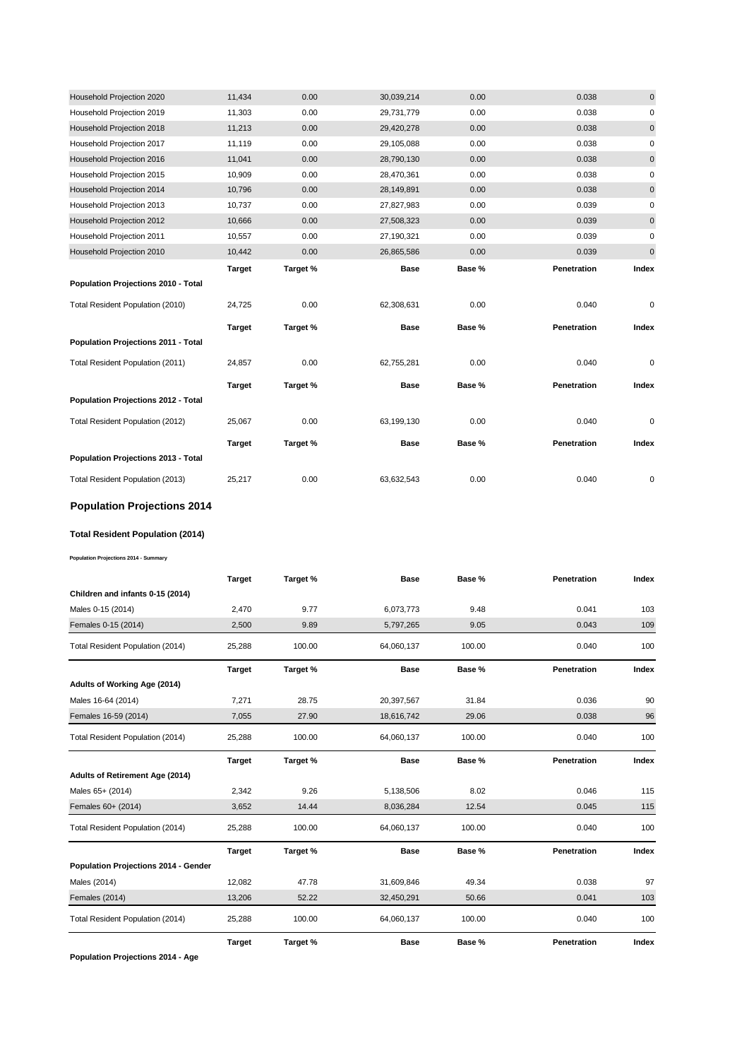| Household Projection 2020           | 11,434        | 0.00     | 30,039,214  | 0.00   | 0.038       | $\mathbf 0$ |
|-------------------------------------|---------------|----------|-------------|--------|-------------|-------------|
| Household Projection 2019           | 11,303        | 0.00     | 29,731,779  | 0.00   | 0.038       | 0           |
| Household Projection 2018           | 11,213        | 0.00     | 29,420,278  | 0.00   | 0.038       | $\pmb{0}$   |
| Household Projection 2017           | 11,119        | 0.00     | 29,105,088  | 0.00   | 0.038       | 0           |
| Household Projection 2016           | 11,041        | 0.00     | 28,790,130  | 0.00   | 0.038       | $\mathbf 0$ |
| Household Projection 2015           | 10,909        | 0.00     | 28,470,361  | 0.00   | 0.038       | $\mathbf 0$ |
| Household Projection 2014           | 10,796        | 0.00     | 28,149,891  | 0.00   | 0.038       | 0           |
| Household Projection 2013           | 10,737        | 0.00     | 27,827,983  | 0.00   | 0.039       | 0           |
| Household Projection 2012           | 10,666        | 0.00     | 27,508,323  | 0.00   | 0.039       | 0           |
| Household Projection 2011           | 10,557        | 0.00     | 27,190,321  | 0.00   | 0.039       | $\pmb{0}$   |
| Household Projection 2010           | 10,442        | 0.00     | 26,865,586  | 0.00   | 0.039       | 0           |
|                                     | <b>Target</b> | Target % | <b>Base</b> | Base % | Penetration | Index       |
| Population Projections 2010 - Total |               |          |             |        |             |             |
|                                     |               |          |             |        |             |             |
| Total Resident Population (2010)    | 24,725        | 0.00     | 62,308,631  | 0.00   | 0.040       | 0           |
|                                     | <b>Target</b> | Target % | Base        | Base % | Penetration | Index       |
| Population Projections 2011 - Total |               |          |             |        |             |             |
| Total Resident Population (2011)    | 24,857        | 0.00     | 62,755,281  | 0.00   | 0.040       | 0           |
|                                     | <b>Target</b> | Target % | <b>Base</b> | Base % | Penetration | Index       |
| Population Projections 2012 - Total |               |          |             |        |             |             |
| Total Resident Population (2012)    | 25,067        | 0.00     | 63,199,130  | 0.00   | 0.040       | 0           |
|                                     | <b>Target</b> | Target % | <b>Base</b> | Base % | Penetration | Index       |
| Population Projections 2013 - Total |               |          |             |        |             |             |

# **Population Projections 2014**

#### **Total Resident Population (2014)**

**Population Projections 2014 - Summary**

|                                      | <b>Target</b> | Target % | <b>Base</b> | Base % | Penetration | Index |
|--------------------------------------|---------------|----------|-------------|--------|-------------|-------|
| Children and infants 0-15 (2014)     |               |          |             |        |             |       |
| Males 0-15 (2014)                    | 2,470         | 9.77     | 6,073,773   | 9.48   | 0.041       | 103   |
| Females 0-15 (2014)                  | 2,500         | 9.89     | 5,797,265   | 9.05   | 0.043       | 109   |
| Total Resident Population (2014)     | 25,288        | 100.00   | 64,060,137  | 100.00 | 0.040       | 100   |
|                                      | <b>Target</b> | Target % | <b>Base</b> | Base % | Penetration | Index |
| Adults of Working Age (2014)         |               |          |             |        |             |       |
| Males 16-64 (2014)                   | 7,271         | 28.75    | 20,397,567  | 31.84  | 0.036       | 90    |
| Females 16-59 (2014)                 | 7,055         | 27.90    | 18,616,742  | 29.06  | 0.038       | 96    |
| Total Resident Population (2014)     | 25,288        | 100.00   | 64,060,137  | 100.00 | 0.040       | 100   |
|                                      | <b>Target</b> | Target % | <b>Base</b> | Base % | Penetration | Index |
| Adults of Retirement Age (2014)      |               |          |             |        |             |       |
| Males 65+ (2014)                     | 2,342         | 9.26     | 5,138,506   | 8.02   | 0.046       | 115   |
| Females 60+ (2014)                   | 3,652         | 14.44    | 8,036,284   | 12.54  | 0.045       | 115   |
| Total Resident Population (2014)     | 25,288        | 100.00   | 64,060,137  | 100.00 | 0.040       | 100   |
|                                      | <b>Target</b> | Target % | <b>Base</b> | Base % | Penetration | Index |
| Population Projections 2014 - Gender |               |          |             |        |             |       |
| Males (2014)                         | 12,082        | 47.78    | 31,609,846  | 49.34  | 0.038       | 97    |
| Females (2014)                       | 13,206        | 52.22    | 32,450,291  | 50.66  | 0.041       | 103   |
| Total Resident Population (2014)     | 25,288        | 100.00   | 64,060,137  | 100.00 | 0.040       | 100   |
|                                      | <b>Target</b> | Target % | <b>Base</b> | Base % | Penetration | Index |

**Population Projections 2014 - Age**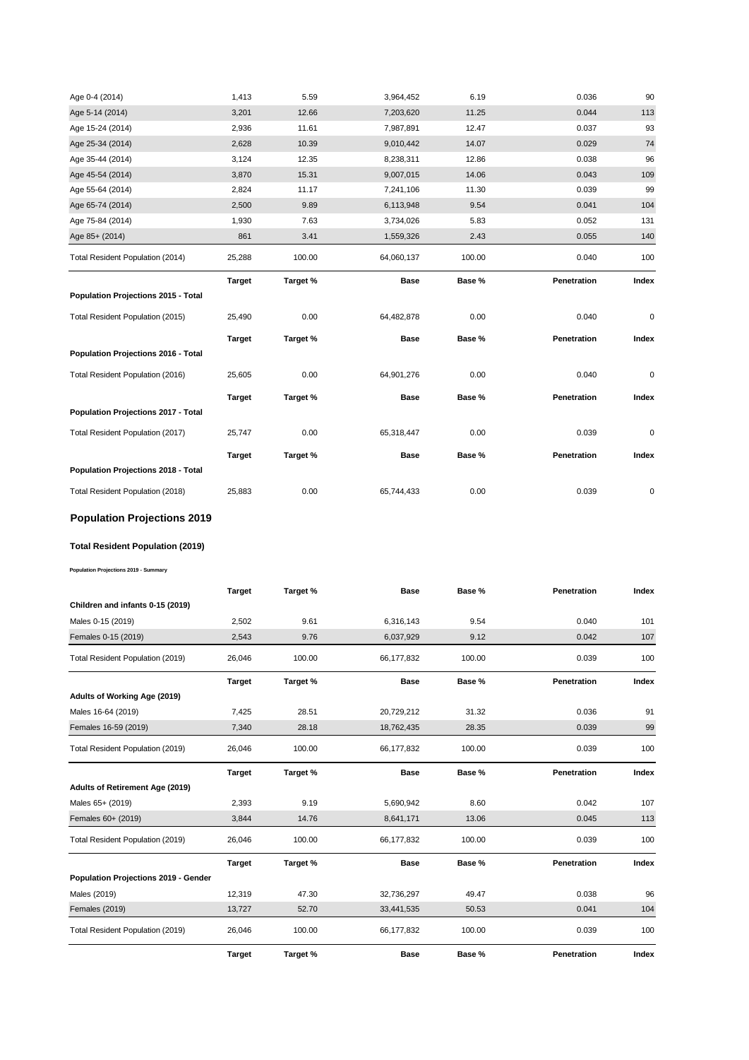| Age 0-4 (2014)                      | 1,413         | 5.59     | 3,964,452   | 6.19   | 0.036       | 90    |
|-------------------------------------|---------------|----------|-------------|--------|-------------|-------|
| Age 5-14 (2014)                     | 3,201         | 12.66    | 7,203,620   | 11.25  | 0.044       | 113   |
| Age 15-24 (2014)                    | 2,936         | 11.61    | 7,987,891   | 12.47  | 0.037       | 93    |
| Age 25-34 (2014)                    | 2,628         | 10.39    | 9,010,442   | 14.07  | 0.029       | 74    |
| Age 35-44 (2014)                    | 3,124         | 12.35    | 8,238,311   | 12.86  | 0.038       | 96    |
| Age 45-54 (2014)                    | 3,870         | 15.31    | 9,007,015   | 14.06  | 0.043       | 109   |
| Age 55-64 (2014)                    | 2,824         | 11.17    | 7,241,106   | 11.30  | 0.039       | 99    |
| Age 65-74 (2014)                    | 2,500         | 9.89     | 6,113,948   | 9.54   | 0.041       | 104   |
| Age 75-84 (2014)                    | 1,930         | 7.63     | 3,734,026   | 5.83   | 0.052       | 131   |
| Age 85+ (2014)                      | 861           | 3.41     | 1,559,326   | 2.43   | 0.055       | 140   |
| Total Resident Population (2014)    | 25,288        | 100.00   | 64,060,137  | 100.00 | 0.040       | 100   |
|                                     | <b>Target</b> | Target % | <b>Base</b> | Base % | Penetration | Index |
| Population Projections 2015 - Total |               |          |             |        |             |       |
|                                     |               |          |             |        |             |       |
| Total Resident Population (2015)    | 25,490        | 0.00     | 64,482,878  | 0.00   | 0.040       | 0     |
|                                     | <b>Target</b> | Target % | <b>Base</b> | Base % | Penetration | Index |
| Population Projections 2016 - Total |               |          |             |        |             |       |
| Total Resident Population (2016)    | 25,605        | 0.00     | 64,901,276  | 0.00   | 0.040       | 0     |
|                                     | <b>Target</b> | Target % | <b>Base</b> | Base % | Penetration | Index |
| Population Projections 2017 - Total |               |          |             |        |             |       |
| Total Resident Population (2017)    | 25,747        | 0.00     | 65,318,447  | 0.00   | 0.039       | 0     |
|                                     | <b>Target</b> | Target % | <b>Base</b> | Base % | Penetration | Index |
| Population Projections 2018 - Total |               |          |             |        |             |       |

# **Population Projections 2019**

# **Total Resident Population (2019)**

**Population Projections 2019 - Summary**

|                                      | <b>Target</b> | Target % | <b>Base</b> | Base % | Penetration | Index |
|--------------------------------------|---------------|----------|-------------|--------|-------------|-------|
| Children and infants 0-15 (2019)     |               |          |             |        |             |       |
| Males 0-15 (2019)                    | 2,502         | 9.61     | 6,316,143   | 9.54   | 0.040       | 101   |
| Females 0-15 (2019)                  | 2,543         | 9.76     | 6,037,929   | 9.12   | 0.042       | 107   |
| Total Resident Population (2019)     | 26,046        | 100.00   | 66,177,832  | 100.00 | 0.039       | 100   |
|                                      | <b>Target</b> | Target % | <b>Base</b> | Base % | Penetration | Index |
| Adults of Working Age (2019)         |               |          |             |        |             |       |
| Males 16-64 (2019)                   | 7,425         | 28.51    | 20,729,212  | 31.32  | 0.036       | 91    |
| Females 16-59 (2019)                 | 7,340         | 28.18    | 18,762,435  | 28.35  | 0.039       | 99    |
| Total Resident Population (2019)     | 26,046        | 100.00   | 66,177,832  | 100.00 | 0.039       | 100   |
|                                      | <b>Target</b> | Target % | <b>Base</b> | Base % | Penetration | Index |
| Adults of Retirement Age (2019)      |               |          |             |        |             |       |
| Males 65+ (2019)                     | 2,393         | 9.19     | 5,690,942   | 8.60   | 0.042       | 107   |
| Females 60+ (2019)                   | 3,844         | 14.76    | 8,641,171   | 13.06  | 0.045       | 113   |
| Total Resident Population (2019)     | 26,046        | 100.00   | 66,177,832  | 100.00 | 0.039       | 100   |
|                                      | <b>Target</b> | Target % | <b>Base</b> | Base % | Penetration | Index |
| Population Projections 2019 - Gender |               |          |             |        |             |       |
| Males (2019)                         | 12,319        | 47.30    | 32,736,297  | 49.47  | 0.038       | 96    |
| <b>Females (2019)</b>                | 13,727        | 52.70    | 33,441,535  | 50.53  | 0.041       | 104   |
| Total Resident Population (2019)     | 26,046        | 100.00   | 66,177,832  | 100.00 | 0.039       | 100   |
|                                      | <b>Target</b> | Target % | <b>Base</b> | Base % | Penetration | Index |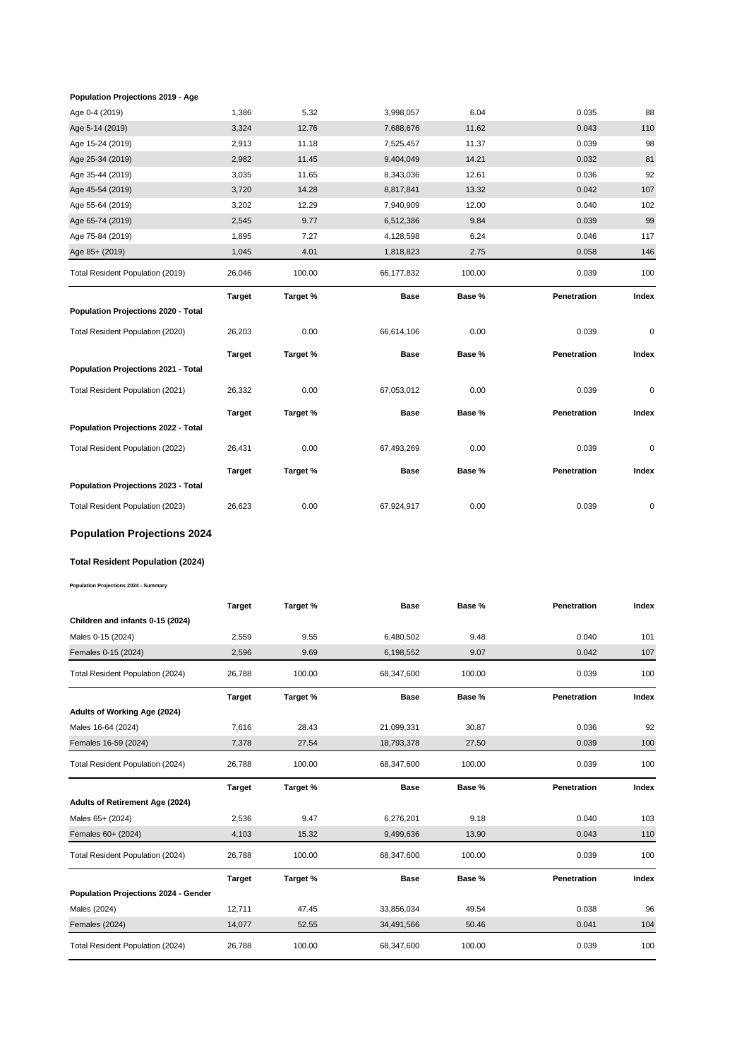#### **Population Projections 2019 - Age**

| Age 0-4 (2019)                          | 1,386         | 5.32     | 3,998,057   | 6.04   | 0.035       | 88        |
|-----------------------------------------|---------------|----------|-------------|--------|-------------|-----------|
| Age 5-14 (2019)                         | 3,324         | 12.76    | 7,688,676   | 11.62  | 0.043       | 110       |
| Age 15-24 (2019)                        | 2,913         | 11.18    | 7,525,457   | 11.37  | 0.039       | 98        |
| Age 25-34 (2019)                        | 2,982         | 11.45    | 9,404,049   | 14.21  | 0.032       | 81        |
| Age 35-44 (2019)                        | 3,035         | 11.65    | 8,343,036   | 12.61  | 0.036       | 92        |
| Age 45-54 (2019)                        | 3,720         | 14.28    | 8,817,841   | 13.32  | 0.042       | 107       |
| Age 55-64 (2019)                        | 3,202         | 12.29    | 7,940,909   | 12.00  | 0.040       | 102       |
| Age 65-74 (2019)                        | 2,545         | 9.77     | 6,512,386   | 9.84   | 0.039       | 99        |
| Age 75-84 (2019)                        | 1,895         | 7.27     | 4,128,598   | 6.24   | 0.046       | 117       |
| Age 85+ (2019)                          | 1,045         | 4.01     | 1,818,823   | 2.75   | 0.058       | 146       |
| Total Resident Population (2019)        | 26,046        | 100.00   | 66,177,832  | 100.00 | 0.039       | 100       |
|                                         | <b>Target</b> | Target % | <b>Base</b> | Base % | Penetration | Index     |
| Population Projections 2020 - Total     |               |          |             |        |             |           |
| Total Resident Population (2020)        | 26,203        | 0.00     | 66,614,106  | 0.00   | 0.039       | 0         |
|                                         | <b>Target</b> | Target % | Base        | Base % | Penetration | Index     |
| Population Projections 2021 - Total     |               |          |             |        |             |           |
| Total Resident Population (2021)        | 26,332        | 0.00     | 67,053,012  | 0.00   | 0.039       | 0         |
|                                         | <b>Target</b> | Target % | Base        | Base % | Penetration | Index     |
| Population Projections 2022 - Total     |               |          |             |        |             |           |
| Total Resident Population (2022)        | 26,431        | 0.00     | 67,493,269  | 0.00   | 0.039       | $\pmb{0}$ |
|                                         | <b>Target</b> | Target % | <b>Base</b> | Base % | Penetration | Index     |
| Population Projections 2023 - Total     |               |          |             |        |             |           |
| Total Resident Population (2023)        | 26,623        | 0.00     | 67,924,917  | 0.00   | 0.039       | 0         |
| <b>Population Projections 2024</b>      |               |          |             |        |             |           |
| <b>Total Resident Population (2024)</b> |               |          |             |        |             |           |

**Population Projections 2024 - Summary**

|                                      | <b>Target</b> | Target % | <b>Base</b> | Base % | Penetration | Index |
|--------------------------------------|---------------|----------|-------------|--------|-------------|-------|
| Children and infants 0-15 (2024)     |               |          |             |        |             |       |
| Males 0-15 (2024)                    | 2,559         | 9.55     | 6,480,502   | 9.48   | 0.040       | 101   |
| Females 0-15 (2024)                  | 2,596         | 9.69     | 6,198,552   | 9.07   | 0.042       | 107   |
| Total Resident Population (2024)     | 26,788        | 100.00   | 68,347,600  | 100.00 | 0.039       | 100   |
|                                      | <b>Target</b> | Target % | <b>Base</b> | Base % | Penetration | Index |
| Adults of Working Age (2024)         |               |          |             |        |             |       |
| Males 16-64 (2024)                   | 7,616         | 28.43    | 21,099,331  | 30.87  | 0.036       | 92    |
| Females 16-59 (2024)                 | 7,378         | 27.54    | 18,793,378  | 27.50  | 0.039       | 100   |
| Total Resident Population (2024)     | 26,788        | 100.00   | 68,347,600  | 100.00 | 0.039       | 100   |
|                                      |               |          |             |        |             |       |
|                                      | <b>Target</b> | Target % | <b>Base</b> | Base % | Penetration | Index |
| Adults of Retirement Age (2024)      |               |          |             |        |             |       |
| Males 65+ (2024)                     | 2,536         | 9.47     | 6,276,201   | 9.18   | 0.040       | 103   |
| Females 60+ (2024)                   | 4,103         | 15.32    | 9,499,636   | 13.90  | 0.043       | 110   |
| Total Resident Population (2024)     | 26,788        | 100.00   | 68,347,600  | 100.00 | 0.039       | 100   |
|                                      | <b>Target</b> | Target % | <b>Base</b> | Base % | Penetration | Index |
| Population Projections 2024 - Gender |               |          |             |        |             |       |
| Males (2024)                         | 12,711        | 47.45    | 33,856,034  | 49.54  | 0.038       | 96    |
| <b>Females (2024)</b>                | 14,077        | 52.55    | 34,491,566  | 50.46  | 0.041       | 104   |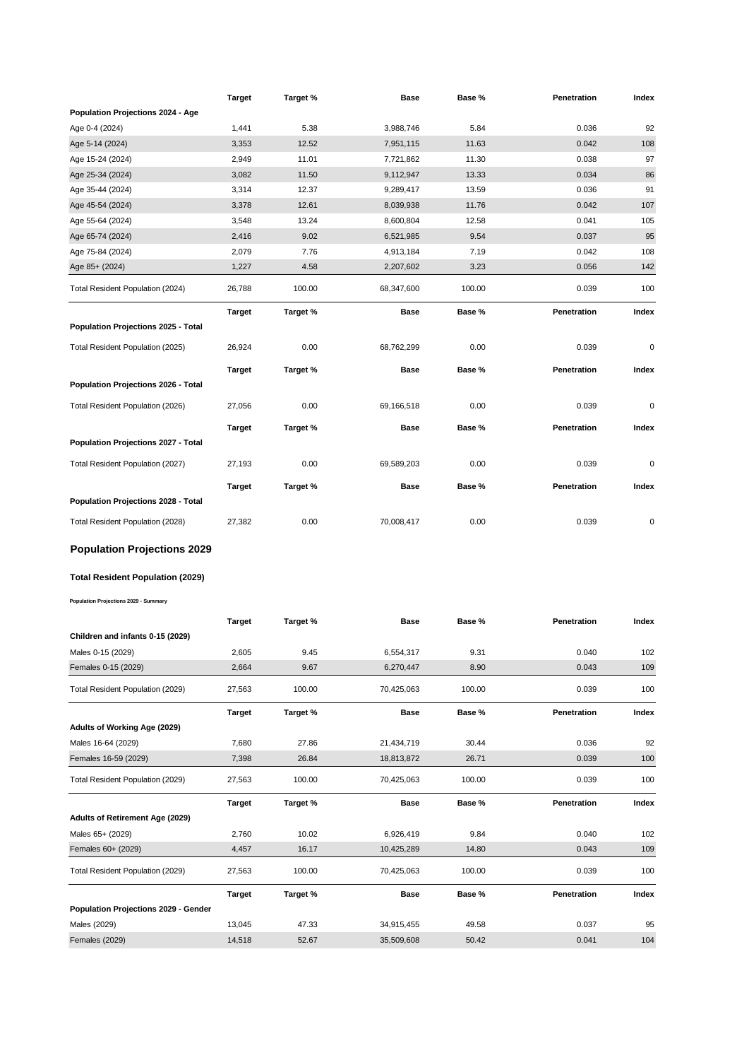|                                            | Target        | Target % | Base        | Base % | Penetration        | Index |
|--------------------------------------------|---------------|----------|-------------|--------|--------------------|-------|
| Population Projections 2024 - Age          |               |          |             |        |                    |       |
| Age 0-4 (2024)                             | 1,441         | 5.38     | 3,988,746   | 5.84   | 0.036              | 92    |
| Age 5-14 (2024)                            | 3,353         | 12.52    | 7,951,115   | 11.63  | 0.042              | 108   |
| Age 15-24 (2024)                           | 2,949         | 11.01    | 7,721,862   | 11.30  | 0.038              | 97    |
| Age 25-34 (2024)                           | 3,082         | 11.50    | 9,112,947   | 13.33  | 0.034              | 86    |
| Age 35-44 (2024)                           | 3,314         | 12.37    | 9,289,417   | 13.59  | 0.036              | 91    |
| Age 45-54 (2024)                           | 3,378         | 12.61    | 8,039,938   | 11.76  | 0.042              | 107   |
| Age 55-64 (2024)                           | 3,548         | 13.24    | 8,600,804   | 12.58  | 0.041              | 105   |
| Age 65-74 (2024)                           | 2,416         | 9.02     | 6,521,985   | 9.54   | 0.037              | 95    |
| Age 75-84 (2024)                           | 2,079         | 7.76     | 4,913,184   | 7.19   | 0.042              | 108   |
| Age 85+ (2024)                             | 1,227         | 4.58     | 2,207,602   | 3.23   | 0.056              | 142   |
| Total Resident Population (2024)           | 26,788        | 100.00   | 68,347,600  | 100.00 | 0.039              | 100   |
|                                            | Target        | Target % | <b>Base</b> | Base % | Penetration        | Index |
| Population Projections 2025 - Total        |               |          |             |        |                    |       |
| Total Resident Population (2025)           | 26,924        | 0.00     | 68,762,299  | 0.00   | 0.039              | 0     |
|                                            | <b>Target</b> | Target % | <b>Base</b> | Base % | Penetration        | Index |
| Population Projections 2026 - Total        |               |          |             |        |                    |       |
|                                            |               | 0.00     |             | 0.00   | 0.039              | 0     |
| Total Resident Population (2026)           | 27,056        |          | 69,166,518  |        |                    |       |
|                                            | <b>Target</b> | Target % | Base        | Base % | Penetration        | Index |
| <b>Population Projections 2027 - Total</b> |               |          |             |        |                    |       |
| Total Resident Population (2027)           | 27,193        | 0.00     | 69,589,203  | 0.00   | 0.039              | 0     |
|                                            | Target        | Target % | Base        | Base % | Penetration        | Index |
| Population Projections 2028 - Total        |               |          |             |        |                    |       |
| Total Resident Population (2028)           | 27,382        | 0.00     | 70,008,417  | 0.00   | 0.039              | 0     |
| <b>Population Projections 2029</b>         |               |          |             |        |                    |       |
|                                            |               |          |             |        |                    |       |
| Total Resident Population (2029)           |               |          |             |        |                    |       |
| Population Projections 2029 - Summary      |               |          |             |        |                    |       |
|                                            | Target        | Target % | Base        | Base % | <b>Penetration</b> | Index |
| Children and infants 0-15 (2029)           |               |          |             |        |                    |       |
| Males 0-15 (2029)                          | 2,605         | 9.45     | 6,554,317   | 9.31   | 0.040              | 102   |
| Females 0-15 (2029)                        | 2,664         | 9.67     | 6,270,447   | 8.90   | 0.043              | 109   |
| Total Resident Population (2029)           | 27,563        | 100.00   | 70,425,063  | 100.00 | 0.039              | 100   |
|                                            | Target        | Target % | Base        | Base % | Penetration        | Index |
| Adults of Working Age (2029)               |               |          |             |        |                    |       |
| Males 16-64 (2029)                         | 7,680         | 27.86    | 21,434,719  | 30.44  | 0.036              | 92    |
| Females 16-59 (2029)                       | 7,398         | 26.84    | 18,813,872  | 26.71  | 0.039              | 100   |
|                                            |               |          |             |        |                    |       |
| Total Resident Population (2029)           | 27,563        | 100.00   | 70,425,063  | 100.00 | 0.039              | 100   |
|                                            | <b>Target</b> | Target % | Base        | Base % | Penetration        | Index |
| <b>Adults of Retirement Age (2029)</b>     |               |          |             |        |                    |       |
| Males 65+ (2029)                           | 2,760         | 10.02    | 6,926,419   | 9.84   | 0.040              | 102   |
| Females 60+ (2029)                         | 4,457         | 16.17    | 10,425,289  | 14.80  | 0.043              | 109   |
| Total Resident Population (2029)           | 27,563        | 100.00   | 70,425,063  | 100.00 | 0.039              | 100   |
|                                            | <b>Target</b> | Target % | <b>Base</b> | Base % | Penetration        | Index |
| Population Projections 2029 - Gender       |               |          |             |        |                    |       |
| Males (2029)                               | 13,045        | 47.33    | 34,915,455  | 49.58  | 0.037              | 95    |
| <b>Females (2029)</b>                      | 14,518        | 52.67    | 35,509,608  | 50.42  | 0.041              | 104   |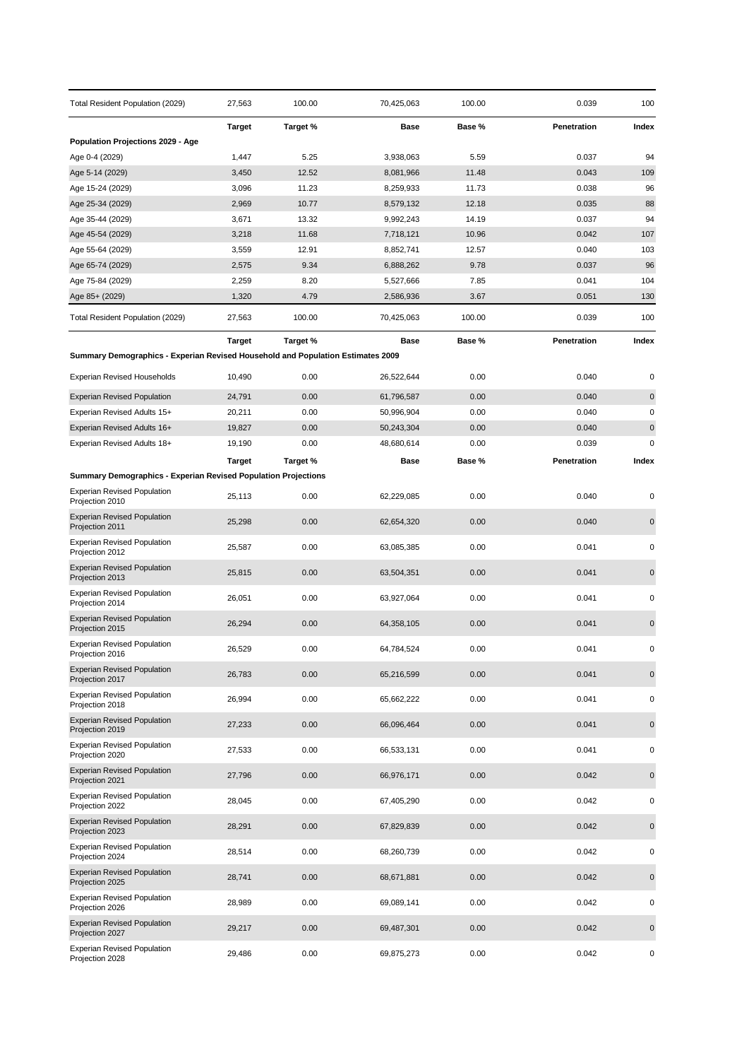| Total Resident Population (2029)                                                | 27,563         | 100.00         | 70,425,063             | 100.00         | 0.039          | 100         |
|---------------------------------------------------------------------------------|----------------|----------------|------------------------|----------------|----------------|-------------|
|                                                                                 | <b>Target</b>  | Target %       | Base                   | Base %         | Penetration    | Index       |
| Population Projections 2029 - Age                                               |                |                |                        |                |                |             |
| Age 0-4 (2029)                                                                  | 1,447          | 5.25           | 3,938,063              | 5.59           | 0.037          | 94          |
| Age 5-14 (2029)                                                                 | 3,450          | 12.52          | 8,081,966              | 11.48          | 0.043          | 109         |
| Age 15-24 (2029)                                                                | 3,096          | 11.23          | 8,259,933              | 11.73          | 0.038          | 96          |
| Age 25-34 (2029)<br>Age 35-44 (2029)                                            | 2,969<br>3,671 | 10.77<br>13.32 | 8,579,132<br>9,992,243 | 12.18<br>14.19 | 0.035<br>0.037 | 88<br>94    |
| Age 45-54 (2029)                                                                | 3,218          | 11.68          | 7,718,121              | 10.96          | 0.042          | 107         |
| Age 55-64 (2029)                                                                | 3,559          | 12.91          | 8,852,741              | 12.57          | 0.040          | 103         |
| Age 65-74 (2029)                                                                | 2,575          | 9.34           | 6,888,262              | 9.78           | 0.037          | 96          |
| Age 75-84 (2029)                                                                | 2,259          | 8.20           | 5,527,666              | 7.85           | 0.041          | 104         |
| Age 85+ (2029)                                                                  | 1,320          | 4.79           | 2,586,936              | 3.67           | 0.051          | 130         |
| Total Resident Population (2029)                                                | 27,563         | 100.00         | 70,425,063             | 100.00         | 0.039          | 100         |
|                                                                                 | Target         | Target %       | Base                   | Base %         | Penetration    | Index       |
| Summary Demographics - Experian Revised Household and Population Estimates 2009 |                |                |                        |                |                |             |
| <b>Experian Revised Households</b>                                              | 10,490         | 0.00           | 26,522,644             | 0.00           | 0.040          | 0           |
| <b>Experian Revised Population</b>                                              | 24,791         | 0.00           | 61,796,587             | 0.00           | 0.040          | 0           |
| Experian Revised Adults 15+                                                     | 20,211         | 0.00           | 50,996,904             | 0.00           | 0.040          | 0           |
| Experian Revised Adults 16+                                                     | 19,827         | 0.00           | 50,243,304             | 0.00           | 0.040          | $\pmb{0}$   |
| Experian Revised Adults 18+                                                     | 19,190         | 0.00           | 48,680,614             | 0.00           | 0.039          | 0           |
|                                                                                 | <b>Target</b>  | Target %       | Base                   | Base %         | Penetration    | Index       |
| <b>Summary Demographics - Experian Revised Population Projections</b>           |                |                |                        |                |                |             |
| <b>Experian Revised Population</b><br>Projection 2010                           | 25,113         | 0.00           | 62,229,085             | 0.00           | 0.040          | 0           |
| <b>Experian Revised Population</b><br>Projection 2011                           | 25,298         | 0.00           | 62,654,320             | 0.00           | 0.040          | 0           |
| <b>Experian Revised Population</b><br>Projection 2012                           | 25,587         | 0.00           | 63,085,385             | 0.00           | 0.041          | 0           |
| <b>Experian Revised Population</b><br>Projection 2013                           | 25,815         | 0.00           | 63,504,351             | 0.00           | 0.041          | $\mathbf 0$ |
| <b>Experian Revised Population</b><br>Projection 2014                           | 26,051         | 0.00           | 63,927,064             | 0.00           | 0.041          | 0           |
| <b>Experian Revised Population</b><br>Projection 2015                           | 26,294         | 0.00           | 64,358,105             | 0.00           | 0.041          | $\mathbf 0$ |
| <b>Experian Revised Population</b><br>Projection 2016                           | 26,529         | 0.00           | 64,784,524             | 0.00           | 0.041          | 0           |
| <b>Experian Revised Population</b><br>Projection 2017                           | 26,783         | 0.00           | 65,216,599             | 0.00           | 0.041          | $\pmb{0}$   |
| <b>Experian Revised Population</b><br>Projection 2018                           | 26,994         | 0.00           | 65,662,222             | 0.00           | 0.041          | 0           |
| <b>Experian Revised Population</b><br>Projection 2019                           | 27,233         | 0.00           | 66,096,464             | 0.00           | 0.041          | 0           |
| <b>Experian Revised Population</b><br>Projection 2020                           | 27,533         | 0.00           | 66,533,131             | 0.00           | 0.041          | 0           |
| <b>Experian Revised Population</b><br>Projection 2021                           | 27,796         | 0.00           | 66,976,171             | 0.00           | 0.042          | 0           |
| <b>Experian Revised Population</b><br>Projection 2022                           | 28,045         | 0.00           | 67,405,290             | 0.00           | 0.042          | 0           |
| <b>Experian Revised Population</b><br>Projection 2023                           | 28,291         | 0.00           | 67,829,839             | 0.00           | 0.042          | $\pmb{0}$   |
| <b>Experian Revised Population</b><br>Projection 2024                           | 28,514         | 0.00           | 68,260,739             | 0.00           | 0.042          | 0           |
| <b>Experian Revised Population</b><br>Projection 2025                           | 28,741         | 0.00           | 68,671,881             | 0.00           | 0.042          | 0           |
| <b>Experian Revised Population</b><br>Projection 2026                           | 28,989         | 0.00           | 69,089,141             | 0.00           | 0.042          | 0           |
| <b>Experian Revised Population</b><br>Projection 2027                           | 29,217         | 0.00           | 69,487,301             | 0.00           | 0.042          | 0           |
| <b>Experian Revised Population</b><br>Projection 2028                           | 29,486         | 0.00           | 69,875,273             | 0.00           | 0.042          | 0           |